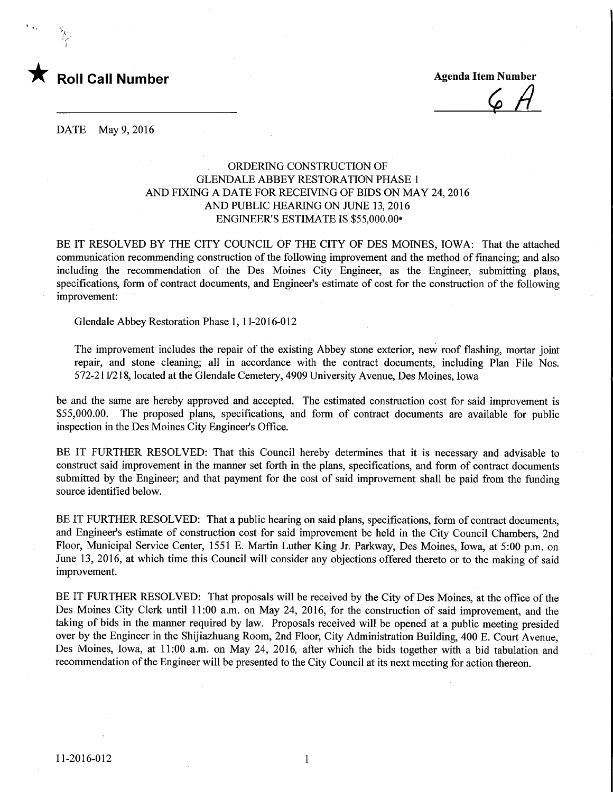

**Agenda Item Number** 

DATE May 9, 2016

## ORDERING CONSTRUCTION OF GLENDALE ABBEY RESTORATION PHASE 1 AND FIXING A DATE FOR RECEWING OF BIDS ON MAY 24, 2016 AND PUBLIC HEARING ON JUNE 13,2016 ENGINEER'S ESTIMATE IS \$55,000.00\*

BE IT RESOLVED BY THE CITY COUNCIL OF THE CITY OF DES MOINES, IOWA: That the attached communication recommending construction of the following improvement and the method of financing; and also including the recommendation of the Des Moines City Engineer, as the Engineer, submitting plans, specifications, form of contract documents, and Engineer's estimate of cost for the construction of the following improvement:

Glendale Abbey Restoration Phase 1, 11-2016-012

The improvement includes the repair of the existing Abbey stone exterior, new roof flashing, mortar joint repair, and stone cleaning; all in accordance with the contract documents, including Plan File Nos. 572-211/218, located at the Glendale Cemetery, 4909 University Avenue, Des Moines, Iowa

be and the same are hereby approved and accepted. The estimated construction cost for said improvement is \$55,000.00. The proposed plans, specifications, and form of contract documents are available for public inspection in the Des Moines City Engineer's Office.

BE IT FURTHER RESOLVED: That this Council hereby determines that it is necessary and advisable to construct said improvement in the manner set forth in the plans, specifications, and form of contract documents submitted by the Engineer; and that payment for the cost of said improvement shall be paid from the funding source identified below.

BE IT FURTHER RESOLVED: That a public hearing on said plans, specifications, form of contract documents, and Engineer's estimate of construction cost for said improvement be held in the City Council Chambers, 2nd Floor, Municipal Service Center, 1551 E. Martin Luther King Jr. Parkway, Des Moines, Iowa, at 5:00 p.m. on June 13, 2016, at which time this Council will consider any objections offered thereto or to the making of said improvement.

BE IT FURTHER RESOLVED: That proposals will be received by the City of Des Moines, at the office of the Des Moines City Clerk until 11:00 a.m. on May 24, 2016, for the construction of said improvement, and the taking of bids in the manner required by law. Proposals received will be opened at a public meeting presided over by the Engineer in the Shijiazhuang Room, 2nd Floor, City Administration Building, 400 E. Court Avenue, Des Moines, Iowa, at 11:00 a.m. on May 24, 2016, after which the bids together with a bid tabulation and recommendation of the Engineer will be presented to the City Council at its next meeting for action thereon.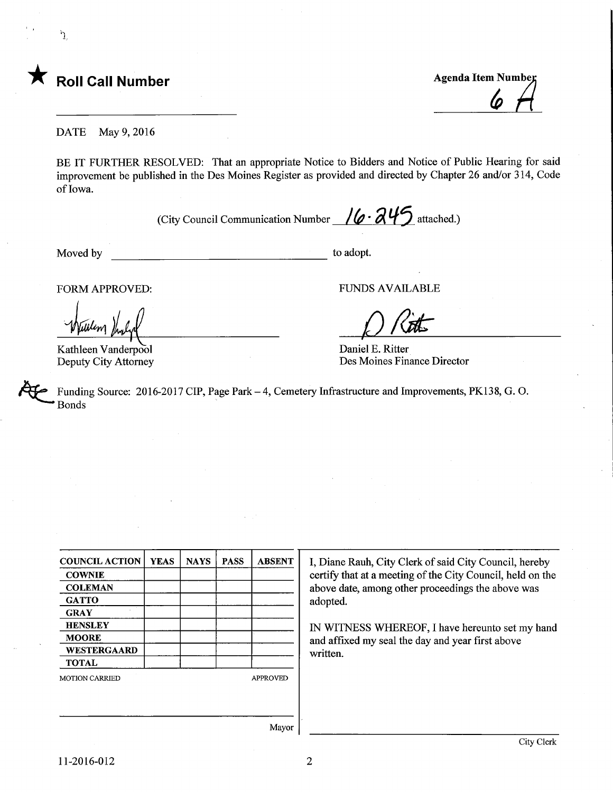

ŕJ.

<L

DATE May 9, 2016

BE IT FURTHER RESOLVED: That an appropriate Notice to Bidders and Notice of Public Hearing for said improvement be published in the Des Moines Register as provided and directed by Chapter 26 and/or 314, Code of Iowa.

(City Council Communication Number  $/6.845$  attached.)

Moved by to adopt.

Kathleen Vanderpool Deputy City Attorney

FORM APPROVED: TO THE RESERVED FUNDS AVAILABLE

 $\bigcirc$  Ritts

Daniel E. Ritter Des Moines Finance Director

Funding Source: 2016-2017 CIP, Page Park - 4, Cemetery Infrastructure and Improvements, PK138, G.O. Bonds

| <b>COUNCIL ACTION</b> | <b>YEAS</b> | <b>NAYS</b> | <b>PASS</b> | <b>ABSENT</b>   |
|-----------------------|-------------|-------------|-------------|-----------------|
| <b>COWNIE</b>         |             |             |             |                 |
| <b>COLEMAN</b>        |             |             |             |                 |
| <b>GATTO</b>          |             |             |             |                 |
| <b>GRAY</b>           |             |             |             |                 |
| <b>HENSLEY</b>        |             |             |             |                 |
| <b>MOORE</b>          |             |             |             |                 |
| WESTERGAARD           |             |             |             |                 |
| <b>TOTAL</b>          |             |             |             |                 |
| <b>MOTION CARRIED</b> |             |             |             | <b>APPROVED</b> |
|                       |             |             |             |                 |
|                       |             |             |             |                 |
|                       |             |             |             |                 |

I, Diane Rauh, City Clerk of said City Council, hereby certify that at a meeting of the City Council, held on the above date, among other proceedings the above was adopted.

IN WITNESS WHEREOF, I have hereunto set my hand and affixed my seal the day and year first above written.

Mayor